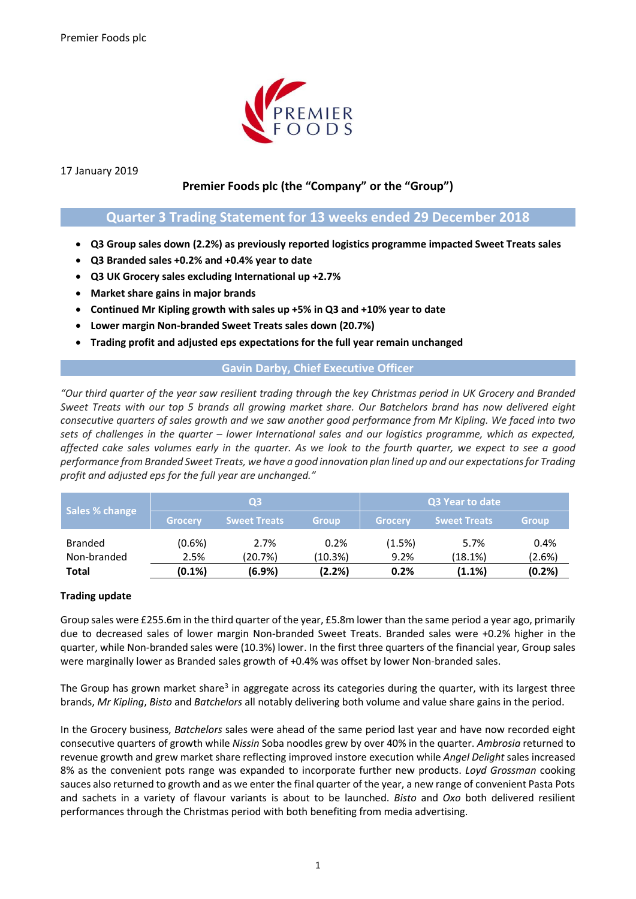

17 January 2019

# **Premier Foods plc (the "Company" or the "Group")**

## **Quarter 3 Trading Statement for 13 weeks ended 29 December 2018**

- **Q3 Group sales down (2.2%) as previously reported logistics programme impacted Sweet Treats sales**
- **Q3 Branded sales +0.2% and +0.4% year to date**
- **Q3 UK Grocery sales excluding International up +2.7%**
- **Market share gains in major brands**
- **Continued Mr Kipling growth with sales up +5% in Q3 and +10% year to date**
- **Lower margin Non-branded Sweet Treats sales down (20.7%)**
- **Trading profit and adjusted eps expectations for the full year remain unchanged**

## **Gavin Darby, Chief Executive Officer**

*"Our third quarter of the year saw resilient trading through the key Christmas period in UK Grocery and Branded Sweet Treats with our top 5 brands all growing market share. Our Batchelors brand has now delivered eight consecutive quarters of sales growth and we saw another good performance from Mr Kipling. We faced into two sets of challenges in the quarter – lower International sales and our logistics programme, which as expected, affected cake sales volumes early in the quarter. As we look to the fourth quarter, we expect to see a good performance from Branded Sweet Treats, we have a good innovation plan lined up and our expectations for Trading profit and adjusted eps for the full year are unchanged."*

| Sales % change | Q <sub>3</sub> |                     |              | Q3 Year to date |                     |              |
|----------------|----------------|---------------------|--------------|-----------------|---------------------|--------------|
|                | <b>Grocery</b> | <b>Sweet Treats</b> | <b>Group</b> | Grocery         | <b>Sweet Treats</b> | <b>Group</b> |
| <b>Branded</b> | (0.6%)         | 2.7%                | 0.2%         | (1.5%)          | 5.7%                | 0.4%         |
| Non-branded    | 2.5%           | (20.7%)             | (10.3%)      | 9.2%            | (18.1%)             | (2.6%)       |
| <b>Total</b>   | (0.1%)         | (6.9%)              | (2.2%)       | 0.2%            | (1.1%)              | (0.2%)       |

### **Trading update**

Group sales were £255.6m in the third quarter of the year, £5.8m lower than the same period a year ago, primarily due to decreased sales of lower margin Non-branded Sweet Treats. Branded sales were +0.2% higher in the quarter, while Non-branded sales were (10.3%) lower. In the first three quarters of the financial year, Group sales were marginally lower as Branded sales growth of +0.4% was offset by lower Non-branded sales.

The Group has grown market share<sup>3</sup> in aggregate across its categories during the quarter, with its largest three brands, *Mr Kipling*, *Bisto* and *Batchelors* all notably delivering both volume and value share gains in the period.

In the Grocery business, *Batchelors* sales were ahead of the same period last year and have now recorded eight consecutive quarters of growth while *Nissin* Soba noodles grew by over 40% in the quarter. *Ambrosia* returned to revenue growth and grew market share reflecting improved instore execution while *Angel Delight* sales increased 8% as the convenient pots range was expanded to incorporate further new products. *Loyd Grossman* cooking sauces also returned to growth and as we enter the final quarter of the year, a new range of convenient Pasta Pots and sachets in a variety of flavour variants is about to be launched. *Bisto* and *Oxo* both delivered resilient performances through the Christmas period with both benefiting from media advertising.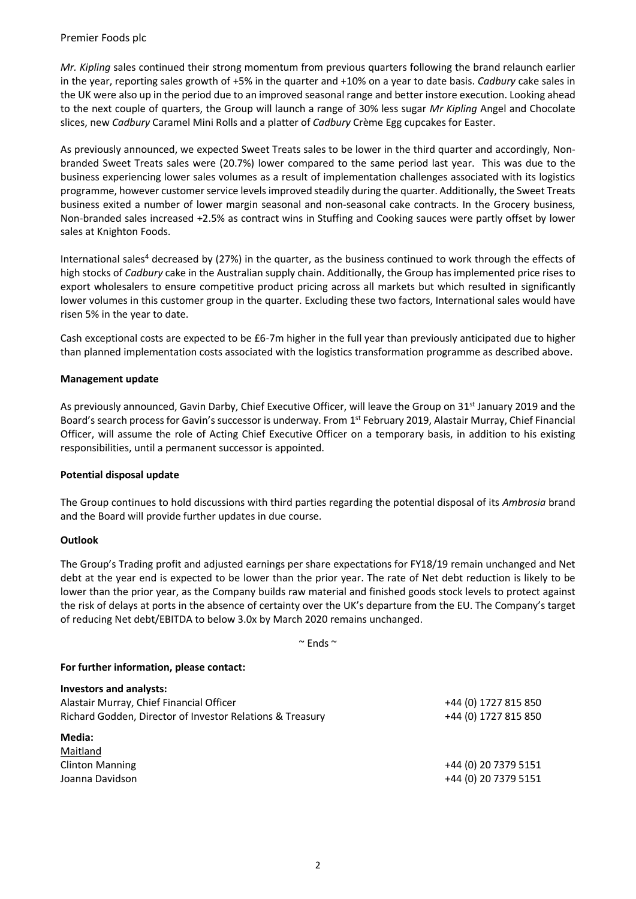Premier Foods plc

*Mr. Kipling* sales continued their strong momentum from previous quarters following the brand relaunch earlier in the year, reporting sales growth of +5% in the quarter and +10% on a year to date basis. *Cadbury* cake sales in the UK were also up in the period due to an improved seasonal range and better instore execution. Looking ahead to the next couple of quarters, the Group will launch a range of 30% less sugar *Mr Kipling* Angel and Chocolate slices, new *Cadbury* Caramel Mini Rolls and a platter of *Cadbury* Crème Egg cupcakes for Easter.

As previously announced, we expected Sweet Treats sales to be lower in the third quarter and accordingly, Nonbranded Sweet Treats sales were (20.7%) lower compared to the same period last year. This was due to the business experiencing lower sales volumes as a result of implementation challenges associated with its logistics programme, however customer service levels improved steadily during the quarter. Additionally, the Sweet Treats business exited a number of lower margin seasonal and non-seasonal cake contracts. In the Grocery business, Non-branded sales increased +2.5% as contract wins in Stuffing and Cooking sauces were partly offset by lower sales at Knighton Foods.

International sales<sup>4</sup> decreased by (27%) in the quarter, as the business continued to work through the effects of high stocks of *Cadbury* cake in the Australian supply chain. Additionally, the Group has implemented price rises to export wholesalers to ensure competitive product pricing across all markets but which resulted in significantly lower volumes in this customer group in the quarter. Excluding these two factors, International sales would have risen 5% in the year to date.

Cash exceptional costs are expected to be £6-7m higher in the full year than previously anticipated due to higher than planned implementation costs associated with the logistics transformation programme as described above.

#### **Management update**

As previously announced, Gavin Darby, Chief Executive Officer, will leave the Group on 31<sup>st</sup> January 2019 and the Board's search process for Gavin's successor is underway. From 1<sup>st</sup> February 2019, Alastair Murray, Chief Financial Officer, will assume the role of Acting Chief Executive Officer on a temporary basis, in addition to his existing responsibilities, until a permanent successor is appointed.

#### **Potential disposal update**

The Group continues to hold discussions with third parties regarding the potential disposal of its *Ambrosia* brand and the Board will provide further updates in due course.

#### **Outlook**

The Group's Trading profit and adjusted earnings per share expectations for FY18/19 remain unchanged and Net debt at the year end is expected to be lower than the prior year. The rate of Net debt reduction is likely to be lower than the prior year, as the Company builds raw material and finished goods stock levels to protect against the risk of delays at ports in the absence of certainty over the UK's departure from the EU. The Company's target of reducing Net debt/EBITDA to below 3.0x by March 2020 remains unchanged.

 $\mathbf{r} = \mathbf{r} \cdot \mathbf{r}$ 

| $\sim$ Fnds $\sim$                                        |                      |
|-----------------------------------------------------------|----------------------|
| For further information, please contact:                  |                      |
| <b>Investors and analysts:</b>                            |                      |
| Alastair Murray, Chief Financial Officer                  | +44 (0) 1727 815 850 |
| Richard Godden, Director of Investor Relations & Treasury | +44 (0) 1727 815 850 |
| Media:                                                    |                      |
| Maitland                                                  |                      |
| <b>Clinton Manning</b>                                    | +44 (0) 20 7379 5151 |
| Joanna Davidson                                           | +44 (0) 20 7379 5151 |
|                                                           |                      |